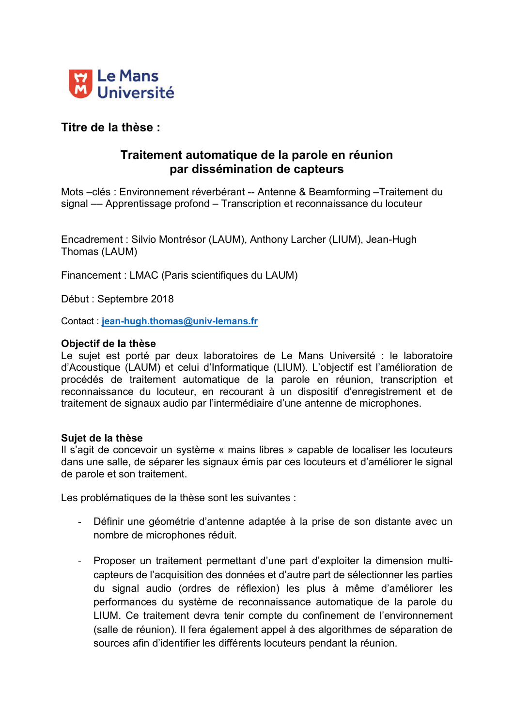

# Titre de la thèse :

# Traitement automatique de la parole en réunion par dissémination de capteurs

Mots –clés : Environnement réverbérant -- Antenne & Beamforming –Traitement du signal –– Apprentissage profond – Transcription et reconnaissance du locuteur

Encadrement : Silvio Montrésor (LAUM), Anthony Larcher (LIUM), Jean-Hugh Thomas (LAUM)

Financement : LMAC (Paris scientifiques du LAUM)

Début : Septembre 2018

Contact : jean-hugh.thomas@univ-lemans.fr

### Objectif de la thèse

Le sujet est porté par deux laboratoires de Le Mans Université : le laboratoire d'Acoustique (LAUM) et celui d'Informatique (LIUM). L'objectif est l'amélioration de procédés de traitement automatique de la parole en réunion, transcription et reconnaissance du locuteur, en recourant à un dispositif d'enregistrement et de traitement de signaux audio par l'intermédiaire d'une antenne de microphones.

### Sujet de la thèse

Il s'agit de concevoir un système « mains libres » capable de localiser les locuteurs dans une salle, de séparer les signaux émis par ces locuteurs et d'améliorer le signal de parole et son traitement.

Les problématiques de la thèse sont les suivantes :

- Définir une géométrie d'antenne adaptée à la prise de son distante avec un nombre de microphones réduit.
- Proposer un traitement permettant d'une part d'exploiter la dimension multicapteurs de l'acquisition des données et d'autre part de sélectionner les parties du signal audio (ordres de réflexion) les plus à même d'améliorer les performances du système de reconnaissance automatique de la parole du LIUM. Ce traitement devra tenir compte du confinement de l'environnement (salle de réunion). Il fera également appel à des algorithmes de séparation de sources afin d'identifier les différents locuteurs pendant la réunion.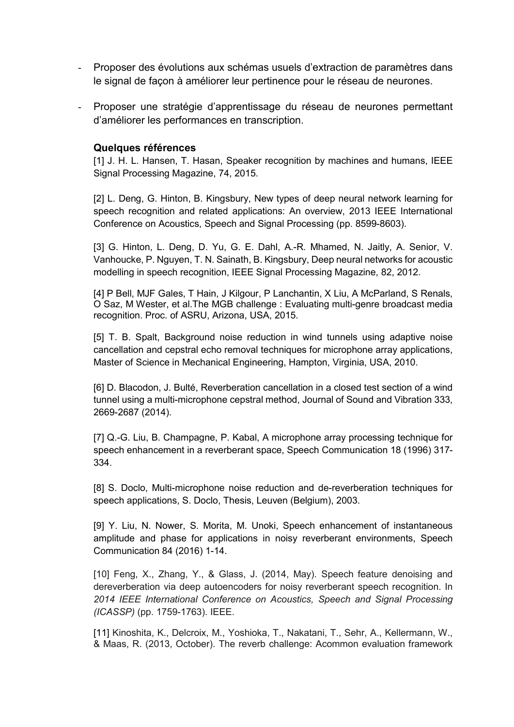- Proposer des évolutions aux schémas usuels d'extraction de paramètres dans le signal de façon à améliorer leur pertinence pour le réseau de neurones.
- Proposer une stratégie d'apprentissage du réseau de neurones permettant d'améliorer les performances en transcription.

### Quelques références

[1] J. H. L. Hansen, T. Hasan, Speaker recognition by machines and humans, IEEE Signal Processing Magazine, 74, 2015.

[2] L. Deng, G. Hinton, B. Kingsbury, New types of deep neural network learning for speech recognition and related applications: An overview, 2013 IEEE International Conference on Acoustics, Speech and Signal Processing (pp. 8599-8603).

[3] G. Hinton, L. Deng, D. Yu, G. E. Dahl, A.-R. Mhamed, N. Jaitly, A. Senior, V. Vanhoucke, P. Nguyen, T. N. Sainath, B. Kingsbury, Deep neural networks for acoustic modelling in speech recognition, IEEE Signal Processing Magazine, 82, 2012.

[4] P Bell, MJF Gales, T Hain, J Kilgour, P Lanchantin, X Liu, A McParland, S Renals, O Saz, M Wester, et al.The MGB challenge : Evaluating multi-genre broadcast media recognition. Proc. of ASRU, Arizona, USA, 2015.

[5] T. B. Spalt, Background noise reduction in wind tunnels using adaptive noise cancellation and cepstral echo removal techniques for microphone array applications, Master of Science in Mechanical Engineering, Hampton, Virginia, USA, 2010.

[6] D. Blacodon, J. Bulté, Reverberation cancellation in a closed test section of a wind tunnel using a multi-microphone cepstral method, Journal of Sound and Vibration 333, 2669-2687 (2014).

[7] Q.-G. Liu, B. Champagne, P. Kabal, A microphone array processing technique for speech enhancement in a reverberant space, Speech Communication 18 (1996) 317- 334.

[8] S. Doclo, Multi-microphone noise reduction and de-reverberation techniques for speech applications, S. Doclo, Thesis, Leuven (Belgium), 2003.

[9] Y. Liu, N. Nower, S. Morita, M. Unoki, Speech enhancement of instantaneous amplitude and phase for applications in noisy reverberant environments, Speech Communication 84 (2016) 1-14.

[10] Feng, X., Zhang, Y., & Glass, J. (2014, May). Speech feature denoising and dereverberation via deep autoencoders for noisy reverberant speech recognition. In *2014 IEEE International Conference on Acoustics, Speech and Signal Processing (ICASSP)* (pp. 1759-1763). IEEE.

[11] Kinoshita, K., Delcroix, M., Yoshioka, T., Nakatani, T., Sehr, A., Kellermann, W., & Maas, R. (2013, October). The reverb challenge: Acommon evaluation framework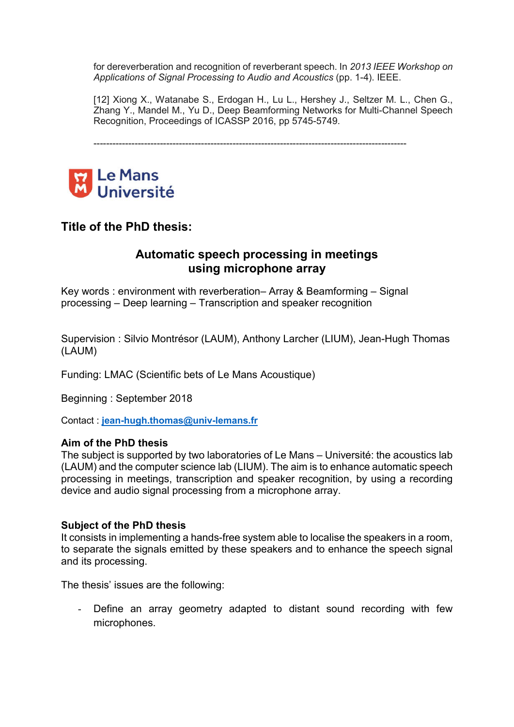for dereverberation and recognition of reverberant speech. In *2013 IEEE Workshop on Applications of Signal Processing to Audio and Acoustics* (pp. 1-4). IEEE.

[12] Xiong X., Watanabe S., Erdogan H., Lu L., Hershey J., Seltzer M. L., Chen G., Zhang Y., Mandel M., Yu D., Deep Beamforming Networks for Multi-Channel Speech Recognition, Proceedings of ICASSP 2016, pp 5745-5749.

---------------------------------------------------------------------------------------------------



## Title of the PhD thesis:

### Automatic speech processing in meetings using microphone array

Key words : environment with reverberation– Array & Beamforming – Signal processing – Deep learning – Transcription and speaker recognition

Supervision : Silvio Montrésor (LAUM), Anthony Larcher (LIUM), Jean-Hugh Thomas (LAUM)

Funding: LMAC (Scientific bets of Le Mans Acoustique)

Beginning : September 2018

Contact : jean-hugh.thomas@univ-lemans.fr

### Aim of the PhD thesis

The subject is supported by two laboratories of Le Mans – Université: the acoustics lab (LAUM) and the computer science lab (LIUM). The aim is to enhance automatic speech processing in meetings, transcription and speaker recognition, by using a recording device and audio signal processing from a microphone array.

### Subject of the PhD thesis

It consists in implementing a hands-free system able to localise the speakers in a room, to separate the signals emitted by these speakers and to enhance the speech signal and its processing.

The thesis' issues are the following:

- Define an array geometry adapted to distant sound recording with few microphones.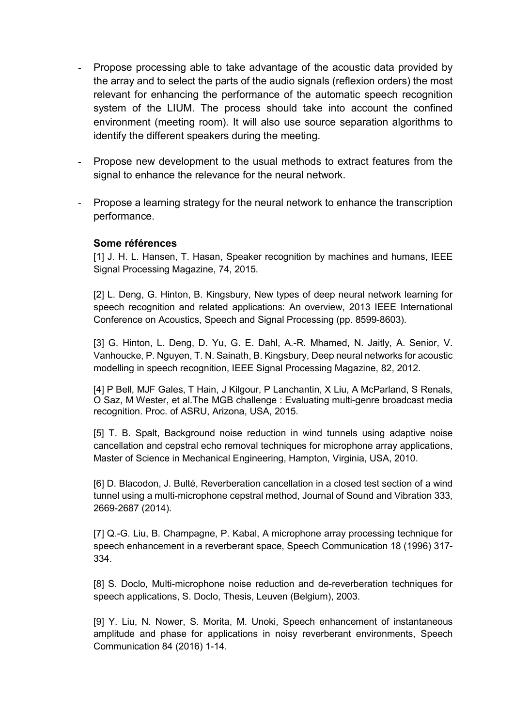- Propose processing able to take advantage of the acoustic data provided by the array and to select the parts of the audio signals (reflexion orders) the most relevant for enhancing the performance of the automatic speech recognition system of the LIUM. The process should take into account the confined environment (meeting room). It will also use source separation algorithms to identify the different speakers during the meeting.
- Propose new development to the usual methods to extract features from the signal to enhance the relevance for the neural network.
- Propose a learning strategy for the neural network to enhance the transcription performance.

### Some références

[1] J. H. L. Hansen, T. Hasan, Speaker recognition by machines and humans, IEEE Signal Processing Magazine, 74, 2015.

[2] L. Deng, G. Hinton, B. Kingsbury, New types of deep neural network learning for speech recognition and related applications: An overview, 2013 IEEE International Conference on Acoustics, Speech and Signal Processing (pp. 8599-8603).

[3] G. Hinton, L. Deng, D. Yu, G. E. Dahl, A.-R. Mhamed, N. Jaitly, A. Senior, V. Vanhoucke, P. Nguyen, T. N. Sainath, B. Kingsbury, Deep neural networks for acoustic modelling in speech recognition, IEEE Signal Processing Magazine, 82, 2012.

[4] P Bell, MJF Gales, T Hain, J Kilgour, P Lanchantin, X Liu, A McParland, S Renals, O Saz, M Wester, et al.The MGB challenge : Evaluating multi-genre broadcast media recognition. Proc. of ASRU, Arizona, USA, 2015.

[5] T. B. Spalt, Background noise reduction in wind tunnels using adaptive noise cancellation and cepstral echo removal techniques for microphone array applications, Master of Science in Mechanical Engineering, Hampton, Virginia, USA, 2010.

[6] D. Blacodon, J. Bulté, Reverberation cancellation in a closed test section of a wind tunnel using a multi-microphone cepstral method, Journal of Sound and Vibration 333, 2669-2687 (2014).

[7] Q.-G. Liu, B. Champagne, P. Kabal, A microphone array processing technique for speech enhancement in a reverberant space, Speech Communication 18 (1996) 317- 334.

[8] S. Doclo, Multi-microphone noise reduction and de-reverberation techniques for speech applications, S. Doclo, Thesis, Leuven (Belgium), 2003.

[9] Y. Liu, N. Nower, S. Morita, M. Unoki, Speech enhancement of instantaneous amplitude and phase for applications in noisy reverberant environments, Speech Communication 84 (2016) 1-14.